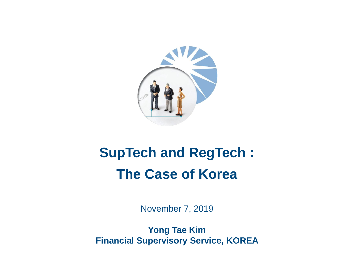

# **SupTech and RegTech : The Case of Korea**

November 7, 2019

**Yong Tae Kim Financial Supervisory Service, KOREA**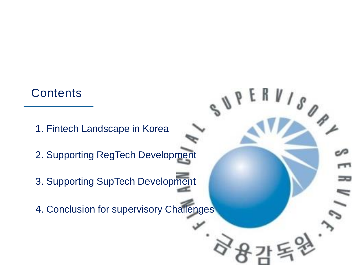## **Contents**

- 1. Fintech Landscape in Korea
- 2. Supporting RegTech Development
- 3. Supporting SupTech Development
- 4. Conclusion for supervisory Challenges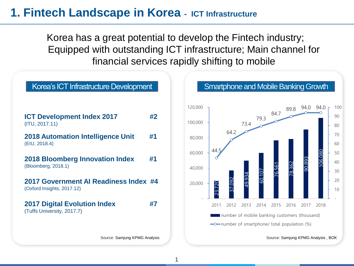#### **1. Fintech Landscape in Korea - ICT Infrastructure**

Korea has a great potential to develop the Fintech industry; Equipped with outstanding ICT infrastructure; Main channel for financial services rapidly shifting to mobile





Source: Samjung KPMG Analysis , BOK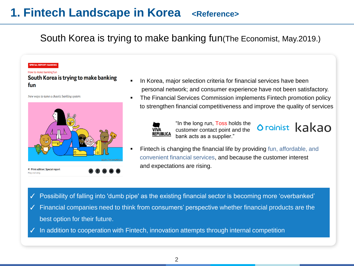# **1. Fintech Landscape in Korea** <Reference>

#### South Korea is trying to make banking fun(The Economist, May.2019.)

#### **SPECIAL REPORT: BANKING**

#### How to make banking fun

South Korea is trying to make banking fun

New ways to tame a chaotic banking system



**10 Print edition | Special report** May 2nd 2019

- In Korea, major selection criteria for financial services have been personal network; and consumer experience have not been satisfactory.
- The Financial Services Commission implements Fintech promotion policy to strengthen financial competitiveness and improve the quality of services

Orginist kakao



"In the long run, Toss holds the customer contact point and the bank acts as a supplier."

Fintech is changing the financial life by providing fun, affordable, and convenient financial services, and because the customer interest and expectations are rising.

Possibility of falling into 'dumb pipe' as the existing financial sector is becoming more 'overbanked'

- ✓ Financial companies need to think from consumers' perspective whether financial products are the best option for their future.
- In addition to cooperation with Fintech, innovation attempts through internal competition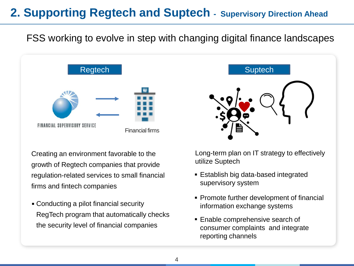# **2. Supporting Regtech and Suptech - Supervisory Direction Ahead**

FSS working to evolve in step with changing digital finance landscapes



Creating an environment favorable to the growth of Regtech companies that provide regulation-related services to small financial firms and fintech companies

Conducting a pilot financial security ▪RegTech program that automatically checks the security level of financial companies



Long-term plan on IT strategy to effectively utilize Suptech

- **Establish big data-based integrated** supervisory system
- **Promote further development of financial** information exchange systems
- **Enable comprehensive search of** consumer complaints and integrate reporting channels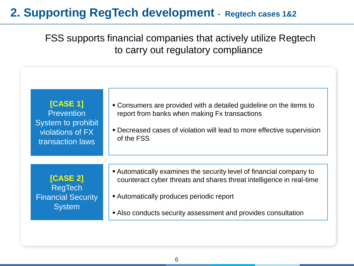## **2. Supporting RegTech development - Regtech cases 1&2**

FSS supports financial companies that actively utilize Regtech to carry out regulatory compliance

| [CASE 1]<br><b>Prevention</b><br>System to prohibit<br>violations of FX<br>transaction laws | • Consumers are provided with a detailed guideline on the items to<br>report from banks when making Fx transactions<br>• Decreased cases of violation will lead to more effective supervision<br>of the FSS |
|---------------------------------------------------------------------------------------------|-------------------------------------------------------------------------------------------------------------------------------------------------------------------------------------------------------------|
| <b>[CASE 2]</b>                                                                             | Automatically examines the security level of financial company to                                                                                                                                           |
| <b>RegTech</b>                                                                              | counteract cyber threats and shares threat intelligence in real-time                                                                                                                                        |
| <b>Financial Security</b>                                                                   | • Automatically produces periodic report                                                                                                                                                                    |
| <b>System</b>                                                                               | Also conducts security assessment and provides consultation                                                                                                                                                 |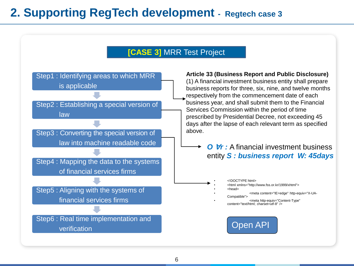## **2. Supporting RegTech development - Regtech case 3**

#### **[CASE 3]** MRR Test Project

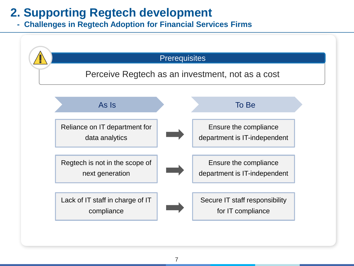# **2. Supporting Regtech development**

**- Challenges in Regtech Adoption for Financial Services Firms**

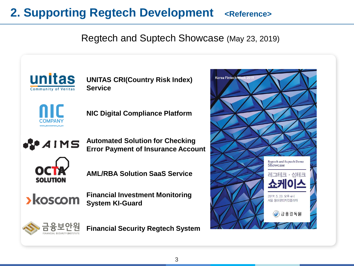# **2. Supporting Regtech Development <Reference>**

#### Regtech and Suptech Showcase (May 23, 2019)



**UNITAS CRI(Country Risk Index) Service**



**NIC Digital Compliance Platform**

**ROAINS** 

**Automated Solution for Checking Error Payment of Insurance Account**



**AML/RBA Solution SaaS Service**

**>koscom** 

**Financial Investment Monitoring System KI-Guard**



**Financial Security Regtech System**

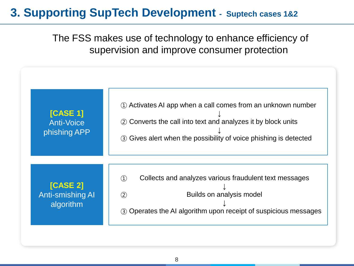## **3. Supporting SupTech Development - Suptech cases 1&2**

The FSS makes use of technology to enhance efficiency of supervision and improve consumer protection

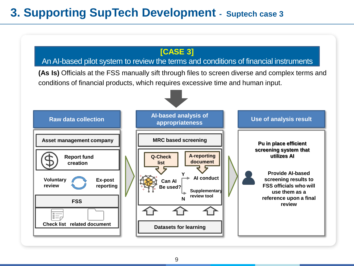# **3. Supporting SupTech Development - Suptech case 3**

#### **[CASE 3]**

#### An AI-based pilot system to review the terms and conditions of financial instruments

**(As Is)** Officials at the FSS manually sift through files to screen diverse and complex terms and conditions of financial products, which requires excessive time and human input.

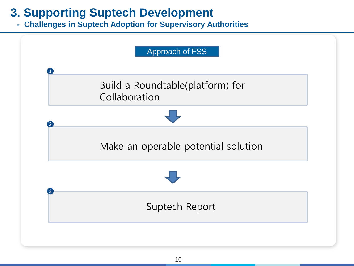# **3. Supporting Suptech Development**

**- Challenges in Suptech Adoption for Supervisory Authorities**

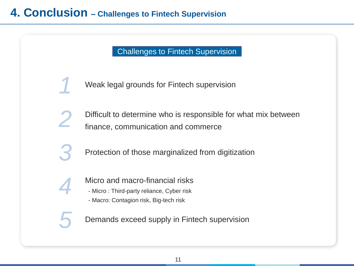Challenges to Fintech Supervision

*1* Weak legal grounds for Fintech supervision

Difficult to determine who is responsible for what mix between *finance*, communication and commerce

*3* Protection of those marginalized from digitization

Micro and macro-financial risks

*4*

- Micro : Third-party reliance, Cyber risk
- Macro: Contagion risk, Big-tech risk

**Demands exceed supply in Fintech supervision**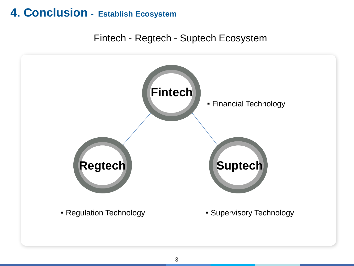## **4. Conclusion - Establish Ecosystem**

#### Fintech - Regtech - Suptech Ecosystem

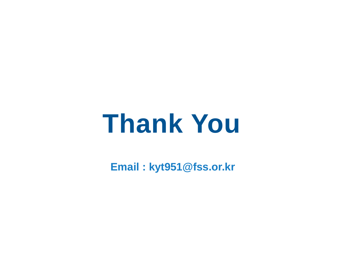# **Thank You**

**Email : kyt951@fss.or.kr**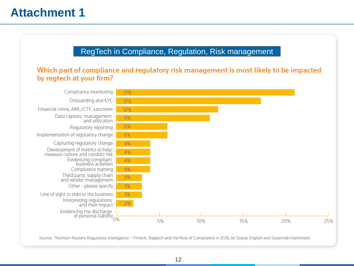#### RegTech in Compliance, Regulation, Risk management

#### Which part of compliance and regulatory risk management is most likely to be impacted by regtech at your firm?



Source: Thomson Reuters Regulatory Intelligence - Fintech, Regtech and the Role of Compliance in 2019, by Stacey English and Susannah Hammond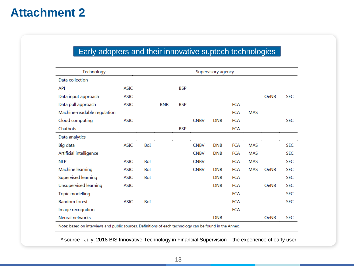#### Early adopters and their innovative suptech technologies

| Technology                   |             | Supervisory agency |            |            |             |            |            |            |             |            |
|------------------------------|-------------|--------------------|------------|------------|-------------|------------|------------|------------|-------------|------------|
| Data collection              |             |                    |            |            |             |            |            |            |             |            |
| API                          | <b>ASIC</b> |                    |            | <b>BSP</b> |             |            |            |            |             |            |
| Data input approach          | <b>ASIC</b> |                    |            |            |             |            |            |            | <b>OeNB</b> | <b>SEC</b> |
| Data pull approach           | <b>ASIC</b> |                    | <b>BNR</b> | <b>BSP</b> |             |            | <b>FCA</b> |            |             |            |
| Machine-readable regulation  |             |                    |            |            |             |            | <b>FCA</b> | <b>MAS</b> |             |            |
| Cloud computing              | <b>ASIC</b> |                    |            |            | <b>CNBV</b> | <b>DNB</b> | <b>FCA</b> |            |             | <b>SEC</b> |
| Chatbots                     |             |                    |            | <b>BSP</b> |             |            | <b>FCA</b> |            |             |            |
| Data analytics               |             |                    |            |            |             |            |            |            |             |            |
| Big data                     | <b>ASIC</b> | BoI                |            |            | <b>CNBV</b> | <b>DNB</b> | <b>FCA</b> | <b>MAS</b> |             | <b>SEC</b> |
| Artificial intelligence      |             |                    |            |            | <b>CNBV</b> | <b>DNB</b> | <b>FCA</b> | <b>MAS</b> |             | <b>SEC</b> |
| <b>NLP</b>                   | <b>ASIC</b> | BoI                |            |            | <b>CNBV</b> |            | <b>FCA</b> | <b>MAS</b> |             | <b>SEC</b> |
| Machine learning             | <b>ASIC</b> | BoI                |            |            | <b>CNBV</b> | <b>DNB</b> | <b>FCA</b> | <b>MAS</b> | <b>OeNB</b> | <b>SEC</b> |
| Supervised learning          | <b>ASIC</b> | BoI                |            |            |             | <b>DNB</b> | <b>FCA</b> |            |             | <b>SEC</b> |
| <b>Unsupervised learning</b> | <b>ASIC</b> |                    |            |            |             | <b>DNB</b> | <b>FCA</b> |            | <b>OeNB</b> | <b>SEC</b> |
| Topic modelling              |             |                    |            |            |             |            | <b>FCA</b> |            |             | <b>SEC</b> |
| Random forest                | <b>ASIC</b> | BoI                |            |            |             |            | <b>FCA</b> |            |             | <b>SEC</b> |
| Image recognition            |             |                    |            |            |             |            | <b>FCA</b> |            |             |            |
| Neural networks              |             |                    |            |            |             | <b>DNB</b> |            |            | <b>OeNB</b> | <b>SEC</b> |

Note: based on interviews and public sources. Definitions of each technology can be found in the Annex.

\* source : July, 2018 BIS Innovative Technology in Financial Supervision – the experience of early user